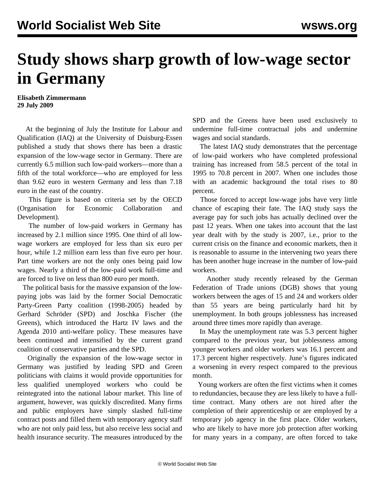## **Study shows sharp growth of low-wage sector in Germany**

**Elisabeth Zimmermann 29 July 2009**

 At the beginning of July the Institute for Labour and Qualification (IAQ) at the University of Duisburg-Essen published a study that shows there has been a drastic expansion of the low-wage sector in Germany. There are currently 6.5 million such low-paid workers—more than a fifth of the total workforce—who are employed for less than 9.62 euro in western Germany and less than 7.18 euro in the east of the country.

 This figure is based on criteria set by the OECD (Organisation for Economic Collaboration and Development).

 The number of low-paid workers in Germany has increased by 2.1 million since 1995. One third of all lowwage workers are employed for less than six euro per hour, while 1.2 million earn less than five euro per hour. Part time workers are not the only ones being paid low wages. Nearly a third of the low-paid work full-time and are forced to live on less than 800 euro per month.

 The political basis for the massive expansion of the lowpaying jobs was laid by the former Social Democratic Party-Green Party coalition (1998-2005) headed by Gerhard Schröder (SPD) and Joschka Fischer (the Greens), which introduced the Hartz IV laws and the Agenda 2010 anti-welfare policy. These measures have been continued and intensified by the current grand coalition of conservative parties and the SPD.

 Originally the expansion of the low-wage sector in Germany was justified by leading SPD and Green politicians with claims it would provide opportunities for less qualified unemployed workers who could be reintegrated into the national labour market. This line of argument, however, was quickly discredited. Many firms and public employers have simply slashed full-time contract posts and filled them with temporary agency staff who are not only paid less, but also receive less social and health insurance security. The measures introduced by the

SPD and the Greens have been used exclusively to undermine full-time contractual jobs and undermine wages and social standards.

 The latest IAQ study demonstrates that the percentage of low-paid workers who have completed professional training has increased from 58.5 percent of the total in 1995 to 70.8 percent in 2007. When one includes those with an academic background the total rises to 80 percent.

 Those forced to accept low-wage jobs have very little chance of escaping their fate. The IAQ study says the average pay for such jobs has actually declined over the past 12 years. When one takes into account that the last year dealt with by the study is 2007, i.e., prior to the current crisis on the finance and economic markets, then it is reasonable to assume in the intervening two years there has been another huge increase in the number of low-paid workers.

 Another study recently released by the German Federation of Trade unions (DGB) shows that young workers between the ages of 15 and 24 and workers older than 55 years are being particularly hard hit by unemployment. In both groups joblessness has increased around three times more rapidly than average.

 In May the unemployment rate was 5.3 percent higher compared to the previous year, but joblessness among younger workers and older workers was 16.1 percent and 17.3 percent higher respectively. June's figures indicated a worsening in every respect compared to the previous month.

 Young workers are often the first victims when it comes to redundancies, because they are less likely to have a fulltime contract. Many others are not hired after the completion of their apprenticeship or are employed by a temporary job agency in the first place. Older workers, who are likely to have more job protection after working for many years in a company, are often forced to take